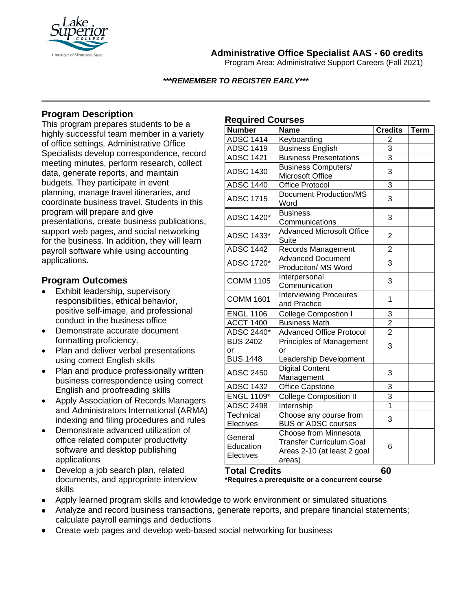

**Administrative Office Specialist AAS - 60 credits**

Program Area: Administrative Support Careers (Fall 2021)

#### *\*\*\*REMEMBER TO REGISTER EARLY\*\*\**

## **Program Description**

This program prepares students to be a highly successful team member in a variety of office settings. Administrative Office Specialists develop correspondence, record meeting minutes, perform research, collect data, generate reports, and maintain budgets. They participate in event planning, manage travel itineraries, and coordinate business travel. Students in this program will prepare and give presentations, create business publications, support web pages, and social networking for the business. In addition, they will learn payroll software while using accounting applications.

### **Program Outcomes**

- Exhibit leadership, supervisory responsibilities, ethical behavior, positive self-image, and professional conduct in the business office
- Demonstrate accurate document formatting proficiency.
- Plan and deliver verbal presentations using correct English skills
- Plan and produce professionally written business correspondence using correct English and proofreading skills
- Apply Association of Records Managers and Administrators International (ARMA) indexing and filing procedures and rules
- Demonstrate advanced utilization of office related computer productivity software and desktop publishing applications
- Develop a job search plan, related documents, and appropriate interview skills

# **Required Courses**

| .<br><b>Number</b>                       | <b>Name</b>                                                                                       | <b>Credits</b> | <b>Term</b> |
|------------------------------------------|---------------------------------------------------------------------------------------------------|----------------|-------------|
| <b>ADSC 1414</b>                         | Keyboarding                                                                                       | $\overline{2}$ |             |
| <b>ADSC 1419</b>                         | <b>Business English</b>                                                                           | 3              |             |
| <b>ADSC 1421</b>                         | <b>Business Presentations</b>                                                                     | 3              |             |
| <b>ADSC 1430</b>                         | <b>Business Computers/</b><br>Microsoft Office                                                    | 3              |             |
| <b>ADSC 1440</b>                         | <b>Office Protocol</b>                                                                            | 3              |             |
| <b>ADSC 1715</b>                         | <b>Document Production/MS</b><br>Word                                                             | 3              |             |
| ADSC 1420*                               | <b>Business</b><br>Communications                                                                 | 3              |             |
| ADSC 1433*                               | <b>Advanced Microsoft Office</b><br><b>Suite</b>                                                  | $\overline{2}$ |             |
| <b>ADSC 1442</b>                         | Records Management                                                                                | $\overline{2}$ |             |
| ADSC 1720*                               | <b>Advanced Document</b><br>Produciton/ MS Word                                                   | 3              |             |
| <b>COMM 1105</b>                         | Interpersonal<br>Communication                                                                    | 3              |             |
| <b>COMM 1601</b>                         | <b>Interviewing Proceures</b><br>and Practice                                                     | 1              |             |
| <b>ENGL 1106</b>                         | <b>College Compostion I</b>                                                                       | 3              |             |
| <b>ACCT 1400</b>                         | <b>Business Math</b>                                                                              | $\overline{2}$ |             |
| <b>ADSC 2440*</b>                        | <b>Advanced Office Protocol</b>                                                                   | $\overline{2}$ |             |
| <b>BUS 2402</b><br>or<br><b>BUS 1448</b> | <b>Principles of Management</b><br>or<br>Leadership Development                                   | 3              |             |
| <b>ADSC 2450</b>                         | <b>Digital Content</b><br>Management                                                              | 3              |             |
| <b>ADSC 1432</b>                         | Office Capstone                                                                                   | 3              |             |
| <b>ENGL 1109*</b>                        | <b>College Composition II</b>                                                                     | 3              |             |
| <b>ADSC 2498</b>                         | Internship                                                                                        | $\overline{1}$ |             |
| Technical<br>Electives                   | Choose any course from<br><b>BUS or ADSC courses</b>                                              | 3              |             |
| General<br>Education<br>Electives        | Choose from Minnesota<br><b>Transfer Curriculum Goal</b><br>Areas 2-10 (at least 2 goal<br>areas) | 6              |             |
| <b>Total Credits</b>                     |                                                                                                   | 60             |             |

**\*Requires a prerequisite or a concurrent course**

- Apply learned program skills and knowledge to work environment or simulated situations
- Analyze and record business transactions, generate reports, and prepare financial statements; calculate payroll earnings and deductions
- Create web pages and develop web-based social networking for business